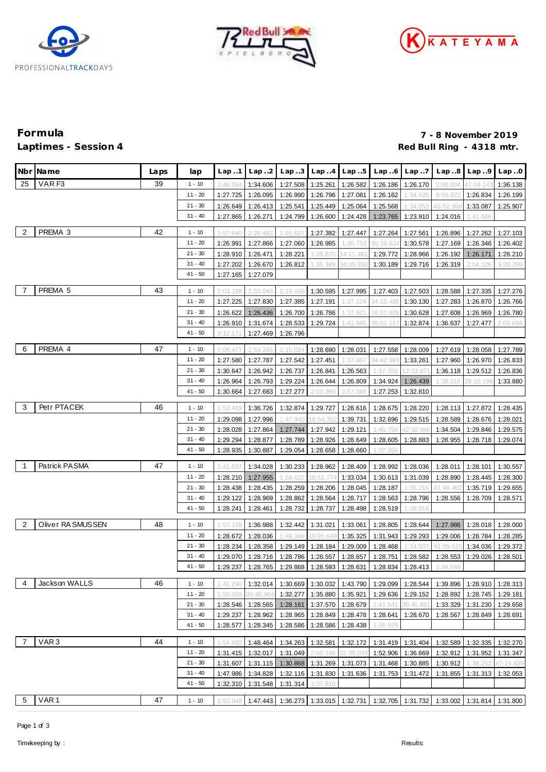





# **Formula 7 - 8 November 2019** Red Bull Ring - 4318 mtr.

|                | Nbr Name          | Laps | lap       | Lap.1    | Lap.2     | Lap.3    |                            | Lap.4 Lap.5 | Lap.6     | Lap.7             | Lap.8                                                                                 | Lap.9     | Lap.0                |
|----------------|-------------------|------|-----------|----------|-----------|----------|----------------------------|-------------|-----------|-------------------|---------------------------------------------------------------------------------------|-----------|----------------------|
| 25             | VAR <sub>F3</sub> | 39   | $1 - 10$  | 1:46.054 | 1:34.606  | 1:27.508 | 1:25.261                   | 1:26.582    | 1:26.186  | 1:26.170          | 2:00.004                                                                              | 47:04.143 | 1:36.138             |
|                |                   |      | $11 - 20$ | 1:27.725 | 1:26.095  | 1:26.990 | 1:26.796                   | 1:27.081    | 1:26.162  | 1:34.925          | 8:50.822                                                                              | 1:26.834  | 1:26.199             |
|                |                   |      | $21 - 30$ | 1:26.649 | 1:26.413  | 1:25.541 | 1:25.449                   | 1:25.064    | 1:25.568  | 1:34.053          | 45:52.96                                                                              | 1:33.087  | 1:25.907             |
|                |                   |      | $31 - 40$ | 1:27.865 | 1:26.271  | 1:24.799 | 1:26.600                   | 1:24.428    | 1:23.765  | 1:23.910          | 1:24.016                                                                              | 1:41.686  |                      |
|                |                   |      |           |          |           |          |                            |             |           |                   |                                                                                       |           |                      |
| $\overline{2}$ | PREMA 3           | 42   | $1 - 10$  | 1:57.640 | 2:26.483  | 1:55.62  | 1:27.382                   | 1:27.447    | 1:27.264  | 1:27.561          | 1:26.896                                                                              | 1:27.262  | 1:27.103             |
|                |                   |      | $11 - 20$ | 1:26.991 | 1:27.866  | 1:27.060 | 1:26.985                   | 1:36.753    | 35:10.624 | 1:30.578          | 1:27.169                                                                              | 1:26.346  | 1:26.402             |
|                |                   |      | $21 - 30$ | 1:28.910 | 1:26.471  | 1:28.221 | 1:39.870                   | 14:11.481   | 1:29.772  | 1:28.966          | 1:26.192                                                                              | 1:26.171  | 1:28.210             |
|                |                   |      | $31 - 40$ | 1:27.202 | 1:26.670  | 1:26.812 | 1:35.349                   | 34:05.930   | 1:30.189  | 1:29.716          | 1:26.319                                                                              | 2:04.126  | 3:20.359             |
|                |                   |      | $41 - 50$ | 1:27.165 | 1:27.079  |          |                            |             |           |                   |                                                                                       |           |                      |
| - 7            | PREMA 5           | 43   | $1 - 10$  | 2:03.199 | 2:53.043  | 2:19.169 | 1:30.595                   | 1:27.995    | 1:27.403  | 1:27.503          | 1:28.588                                                                              | 1:27.335  | 1:27.276             |
|                |                   |      | $11 - 20$ | 1:27.225 | 1:27.830  | 1:27.385 | 1:27.191                   | 1:37.104    | 34:15.495 | 1:30.130          | 1:27.283                                                                              | 1:26.870  | 1:26.766             |
|                |                   |      | $21 - 30$ | 1:26.622 | 1:26.436  | 1:26.700 | 1:26.786                   | 1:37.92'    | 16:21.926 | 1:30.628          | 1:27.608                                                                              | 1:26.969  | 1:26.780             |
|                |                   |      | $31 - 40$ | 1:26.910 | 1:31.674  | 1:28.533 | 1:29.724                   | 1:41.565    | 30:01.217 | 1:32.874          | 1:36.637                                                                              | 1:27.477  | 2:03.694             |
|                |                   |      | 41 - 50   | 3:12.171 | 1:27.469  | 1:26.796 |                            |             |           |                   |                                                                                       |           |                      |
| - 6            | PREMA 4           | 47   | $1 - 10$  | 2:08.477 | 2:59.245  | 2:16.024 | 1:28.690                   | 1:28.031    | 1:27.558  | 1:28.009          | 1:27.619                                                                              | 1:28.058  | 1:27.789             |
|                |                   |      | $11 - 20$ | 1:27.580 | 1:27.787  | 1:27.542 | 1:27.451                   | 1:37.967    | 34:42.669 | 1:33.261          | 1:27.960                                                                              | 1:26.970  | 1:26.833             |
|                |                   |      | $21 - 30$ | 1:30.647 | 1:26.942  | 1:26.737 | 1:26.841                   | 1:26.563    | 1:37.350  | 12:23.87          | 1:36.118                                                                              | 1:29.512  | 1:26.836             |
|                |                   |      | $31 - 40$ | 1:26.964 | 1:26.793  | 1:29.224 | 1:26.644                   | 1:26.809    | 1:34.924  | 1:26.439          | 1:38.010                                                                              | 28:10.198 | 1:33.880             |
|                |                   |      | $41 - 50$ | 1:30.664 | 1:27.683  | 1:27.277 | 2:03.360                   | 2:57.346    | 1:27.253  | 1:32.810          |                                                                                       |           |                      |
|                |                   |      |           |          |           |          |                            |             |           |                   |                                                                                       |           |                      |
| 3              | Petr PTACEK       | 46   | $1 - 10$  | 1:53.419 | 1:36.726  | 1:32.874 | 1:29.727                   | 1:28.616    | 1:28.675  | 1:28.220          | 1:28.113                                                                              | 1:27.872  | 1:28.435             |
|                |                   |      | $11 - 20$ | 1:29.098 | 1:27.996  | 1:47.940 | 18:54.362                  | 1:39.731    | 1:32.696  | 1:29.515          | 1:28.589                                                                              | 1:28.676  | 1:28.021             |
|                |                   |      | $21 - 30$ | 1:28.028 | 1:27.864  | 1:27.744 | 1:27.942                   | 1:29.121    | 1:45.756  | 42:32.066         | 1:34.504                                                                              | 1:29.846  | 1:29.575             |
|                |                   |      | $31 - 40$ | 1:29.294 | 1:28.877  | 1:28.789 | 1:28.926                   | 1:28.649    | 1:28.605  | 1:28.883          | 1:28.955                                                                              | 1:28.718  | 1:29.074             |
|                |                   |      | $41 - 50$ | 1:28.935 | 1:30.887  | 1:29.054 | 1:28.658                   | 1:28.660    | 1:37.356  |                   |                                                                                       |           |                      |
| $\overline{1}$ | Patrick PASMA     | 47   | $1 - 10$  | 1:41.537 | 1:34.028  | 1:30.233 | 1:28.962                   | 1:28.409    | 1:28.992  | 1:28.036          | 1:28.011                                                                              | 1:28.101  | 1:30.557             |
|                |                   |      | $11 - 20$ | 1:28.210 | 1:27.955  | 1:59.62  | 8:51<br>.774               | 1:33.034    | 1:30.613  | 1:31.039          | 1:28.890                                                                              | 1:28.445  | 1:28.300             |
|                |                   |      | $21 - 30$ | 1:28.438 | 1:28.435  | 1:28.259 | 1:28.206                   | 1:28.045    | 1:28.187  | 1:35.216          | 41:49.46                                                                              | 1:35.719  | 1:29.655             |
|                |                   |      | $31 - 40$ | 1:29.122 | 1:28.969  | 1:28.862 | 1:28.564                   | 1:28.717    | 1:28.563  | 1:28.796          | 1:28.556                                                                              | 1:28.709  | 1:28.571             |
|                |                   |      | $41 - 50$ | 1:28.241 | 1:28.461  | 1:28.732 | 1:28.737                   | 1:28.498    | 1:28.519  | 1:38.918          |                                                                                       |           |                      |
| $\overline{2}$ | Oliver RA SMUSSEN | 48   | $1 - 10$  | 1:57.139 | 1:36.988  | 1:32.442 | 1:31.021                   | 1:33.061    | 1:28.805  | 1:28.644          | 1:27.986                                                                              | 1:28.018  | 1:28.000             |
|                |                   |      | $11 - 20$ | 1:28.672 | 1:28.036  | 1:49.346 | 19:01.649                  | 1:35.325    | 1:31.943  | 1:29.293          | 1:29.006                                                                              | 1:28.784  |                      |
|                |                   |      | $21 - 30$ | 1:28.234 | 1:28.358  | 1:29.149 | 1:28.184                   | 1:29.009    | 1:28.468  | 1:34.50           | 41:09.51                                                                              | 1:34.036  | 1:28.285<br>1:29.372 |
|                |                   |      | $31 - 40$ | 1:29.070 | 1:28.716  | 1:28.786 | 1:28.557                   | 1:28.657    | 1:28.751  | 1:28.582          | 1:28.553                                                                              | 1:29.026  | 1:28.501             |
|                |                   |      | $41 - 50$ | 1:29.237 | 1:28.765  | 1:29.868 | 1:28.593                   | 1:28.631    | 1:28.834  | 1:28.413          | 1:34.649                                                                              |           |                      |
|                |                   |      |           |          |           |          |                            |             |           |                   |                                                                                       |           |                      |
| -4             | Jackson WALLS     | 46   | $1 - 10$  | 1:41.240 | 1:32.014  | 1:30.669 | 1:30.032                   | 1:43.790    | 1:29.099  | 1:28.544          | 1:39.896                                                                              | 1:28.910  | 1:28.313             |
|                |                   |      | $11 - 20$ | 1:50.059 | 20:45.964 | 1:32.277 | 1:35.880                   | 1:35.921    | 1:29.636  | 1:29.152          | 1:28.892                                                                              | 1:28.745  | 1:29.181             |
|                |                   |      | $21 - 30$ | 1:28.546 | 1:28.565  | 1:28.161 | 1:37.570                   | 1:28.679    | 1:41.541  | 38:45.861         | 1:33.329                                                                              | 1:31.230  | 1:29.658             |
|                |                   |      | $31 - 40$ | 1:29.237 | 1:28.962  | 1:28.965 | 1:28.849                   | 1:28.478    | 1:28.641  | 1:28.670          | 1:28.567                                                                              | 1:28.849  | 1:28.691             |
|                |                   |      | $41 - 50$ | 1:28.577 | 1:28.345  | 1:28.586 | 1:28.586                   | 1:28.438    | 1:36.929  |                   |                                                                                       |           |                      |
| $\overline{7}$ | VAR <sub>3</sub>  | 44   | $1 - 10$  | 1:54.882 | 1:48.464  | 1:34.263 | 1:32.581                   | 1:32.172    |           | 1:31.419 1:31.404 | 1:32.589                                                                              | 1:32.335  | 1:32.270             |
|                |                   |      | $11 - 20$ | 1:31.415 | 1:32.017  | 1:31.049 | 2:00.166                   | 32:30.03    |           | 1:52.906 1:36.669 | 1:32.912                                                                              | 1:31.952  | 1:31.347             |
|                |                   |      | $21 - 30$ | 1:31.607 | 1:31.115  |          | 1:30.868 1:31.269 1:31.073 |             |           | 1:31.468 1:30.885 | 1:30.912                                                                              | 1:38.252  | 47:14.839            |
|                |                   |      | $31 - 40$ | 1:47.986 | 1:34.828  | 1:32.116 | 1:31.830                   | 1:31.636    | 1:31.753  | 1:31.472          | 1:31.855                                                                              | 1:31.313  | 1:32.053             |
|                |                   |      | $41 - 50$ | 1:32.310 | 1:31.548  | 1:31.314 | 1:37.910                   |             |           |                   |                                                                                       |           |                      |
| 5              | VAR <sub>1</sub>  | 47   |           |          |           |          |                            |             |           |                   |                                                                                       |           |                      |
|                |                   |      | $1 - 10$  | 1:53.949 | 1:47.443  |          |                            |             |           |                   | 1:36.273   1:33.015   1:32.731   1:32.705   1:31.732   1:33.002   1:31.814   1:31.800 |           |                      |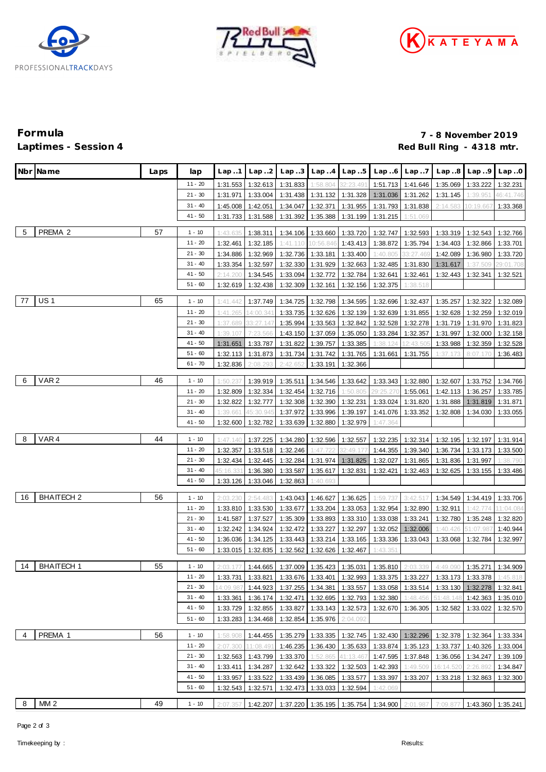





# **Formula 7 - 8 November 2019** Red Bull Ring - 4318 mtr.

|    | Nbr Name          | Laps | lap                    | Lap 1                | Lap2                 | Lap.3                | Lap.4                          | Lap.5                         | Lap6                                | Lap.7                | Lap.8                                                                                 | Lap.9                | Lap.0                 |
|----|-------------------|------|------------------------|----------------------|----------------------|----------------------|--------------------------------|-------------------------------|-------------------------------------|----------------------|---------------------------------------------------------------------------------------|----------------------|-----------------------|
|    |                   |      | $11 - 20$              | 1:31.553             | 1:32.613             | 1:31.833             | 1:58.804                       | 32:23.49                      | 1:51.713                            | 1:41.646             | 1:35.069                                                                              | 1:33.222             | 1:32.231              |
|    |                   |      | 21 - 30                | 1:31.971             | 1:33.004             | 1:31.438             |                                | 1:31.132 1:31.328             | 1:31.036                            | 1:31.262             | 1:31.145                                                                              | 1:39.951             | 46:41.746             |
|    |                   |      | 31 - 40                | 1:45.008             | 1:42.051             | 1:34.047             | 1:32.371                       | 1:31.955                      | 1:31.793                            | 1:31.838             | 2:14.583                                                                              | 10:19.66             | 1:33.368              |
|    |                   |      | $41 - 50$              | 1:31.733             | 1:31.588             | 1:31.392             | 1:35.388                       | 1:31.199                      | 1:31.215                            | 1:51.069             |                                                                                       |                      |                       |
| 5  | PREMA 2           | 57   |                        |                      |                      |                      |                                |                               |                                     |                      |                                                                                       |                      |                       |
|    |                   |      | $1 - 10$<br>$11 - 20$  | 1:43.635             | 1:38.311             | 1:34.106             | 1:33.660                       | 1:33.720                      | 1:32.747                            | 1:32.593             | 1:33.319                                                                              | 1:32.543             | 1:32.766              |
|    |                   |      |                        | 1:32.461             | 1:32.185             | 1:41.110             | 10:56.846                      | 1:43.413                      | 1:38.872                            | 1:35.794             | 1:34.403                                                                              | 1:32.866             | 1:33.701              |
|    |                   |      | $21 - 30$<br>$31 - 40$ | 1:34.886<br>1:33.354 | 1:32.969             | 1:32.736             | 1:33.181                       | 1:33.400                      | 1:40.805<br>1:32.485                | 33:27.46             | 1:42.089                                                                              | 1:36.980             | 1:33.720              |
|    |                   |      | $41 - 50$              | 2:14.200             | 1:32.597<br>1:34.545 | 1:32.330<br>1:33.094 | 1:32.772                       | 1:31.929 1:32.663<br>1:32.784 | 1:32.641                            | 1:31.830<br>1:32.461 | 1:31.617<br>1:32.443                                                                  | 1:37.509<br>1:32.341 | 29:01.708<br>1:32.521 |
|    |                   |      | $51 - 60$              | 1:32.619             | 1:32.438             | 1:32.309             | 1:32.161                       | 1:32.156                      | 1:32.375                            | 1:38.518             |                                                                                       |                      |                       |
|    |                   |      |                        |                      |                      |                      |                                |                               |                                     |                      |                                                                                       |                      |                       |
| 77 | <b>US1</b>        | 65   | $1 - 10$               | 1:41.442             | 1:37.749             | 1:34.725             | 1:32.798                       | 1:34.595                      | 1:32.696                            | 1:32.437             | 1:35.257                                                                              | 1:32.322             | 1:32.089              |
|    |                   |      | $11 - 20$              | 1:41.265             | 14:00.341            | 1:33.735             | 1:32.626                       | 1:32.139                      | 1:32.639                            | 1:31.855             | 1:32.628                                                                              | 1:32.259             | 1:32.019              |
|    |                   |      | $21 - 30$              | 1:37.689             | 33:27.147            | 1:35.994             | 1:33.563                       | 1:32.842                      | 1:32.528                            | 1:32.278             | 1:31.719                                                                              | 1:31.970             | 1:31.823              |
|    |                   |      | $31 - 40$              | 1:39.107             | 7:23.566             | 1:43.150             | 1:37.059                       | 1:35.050                      | 1:33.284                            | 1:32.357             | 1:31.997                                                                              | 1:32.000             | 1:32.158              |
|    |                   |      | 41 - 50                | 1:31.651             | 1:33.787             | 1:31.822             | 1:39.757                       | 1:33.385                      | 1:38.124                            | 12:43.50             | 1:33.988                                                                              | 1:32.359             | 1:32.528              |
|    |                   |      | $51 - 60$              | 1:32.113             | 1:31.873             | 1:31.734             | 1:31.742                       | 1:31.765                      | 1:31.661                            | 1:31.755             | 1:37.173                                                                              | 8:07.17              | 1:36.483              |
|    |                   |      | $61 - 70$              | 1:32.836             | 2:08.293             | 2:42.65              | 1:33.191                       | 1:32.366                      |                                     |                      |                                                                                       |                      |                       |
| 6  | VAR <sub>2</sub>  | 46   | $1 - 10$               | 1:50.23              | 1:39.919             | 1:35.511             | 1:34.546                       | 1:33.642                      | 1:33.343                            | 1:32.880             | 1:32.607                                                                              | 1:33.752             | 1:34.766              |
|    |                   |      | $11 - 20$              | 1:32.809             | 1:32.334             | 1:32.454             | 1:32.716                       | 1:50.805                      | 29:25.27                            | 1:55.061             | 1:42.113                                                                              | 1:36.257             | 1:33.785              |
|    |                   |      | $21 - 30$              | 1:32.822             | 1:32.777             | 1:32.308             | 1:32.390                       | 1:32.231                      | 1:33.024                            | 1:31.820             | 1:31.888                                                                              | 1:31.819             | 1:31.871              |
|    |                   |      | $31 - 40$              | 1:39.661             | 45:30.945            | 1:37.972             | 1:33.996                       | 1:39.197                      | 1:41.076                            | 1:33.352             | 1:32.808                                                                              | 1:34.030             | 1:33.055              |
|    |                   |      | $41 - 50$              | 1:32.600             | 1:32.782             | 1:33.639             | 1:32.880                       | 1:32.979                      | 1:47.364                            |                      |                                                                                       |                      |                       |
|    |                   |      |                        |                      |                      |                      |                                |                               |                                     |                      |                                                                                       |                      |                       |
| 8  | VAR4              | 44   | $1 - 10$               | 1:47.140             | 1:37.225             | 1:34.280             | 1:32.596                       | 1:32.557                      | 1:32.235                            | 1:32.314             | 1:32.195                                                                              | 1:32.197             | 1:31.914              |
|    |                   |      | $11 - 20$              | 1:32.357             | 1:33.518             | 1:32.246             | 1:47.722                       | 32:49.17                      | 1:44.355                            | 1:39.340             | 1:36.734                                                                              | 1:33.173             | 1:33.500              |
|    |                   |      | $21 - 30$<br>$31 - 40$ | 1:32.434             | 1:32.445             | 1:32.284             | 1:31.974                       | 1:31.825                      | 1:32.027                            | 1:31.865             | 1:31.836                                                                              | 1:31.997             | 1:38.790              |
|    |                   |      | 41 - 50                | 45:16.33             | 1:36.380             | 1:33.587             | 1:35.617                       | 1:32.831                      | 1:32.421                            | 1:32.463             | 1:32.625                                                                              | 1:33.155             | 1:33.486              |
|    |                   |      |                        | 1:33.126             | 1:33.046             | 1:32.863             | 1:40.693                       |                               |                                     |                      |                                                                                       |                      |                       |
| 16 | <b>BHAITECH 2</b> | 56   | $1 - 10$               | 2:03.230             | 2:54.483             | 1:43.043             | 1:46.627                       | 1:36.625                      | 1:59.737                            | 3:42.517             | 1:34.549                                                                              | 1:34.419             | 1:33.706              |
|    |                   |      | 11 - 20                | 1:33.810             | 1:33.530             | 1:33.677             | 1:33.204                       | 1:33.053                      | 1:32.954                            | 1:32.890             | 1:32.911                                                                              | 1:42.774             | 11:04.084             |
|    |                   |      | $21 - 30$              | 1:41.587             | 1:37.527             | 1:35.309             | 1:33.893                       | 1:33.310                      | 1:33.038                            | 1:33.241             | 1:32.780                                                                              | 1:35.248             | 1:32.820              |
|    |                   |      | $31 - 40$              | 1:32.242             | 1:34.924             | 1:32.472             | 1:33.227                       | 1:32.297                      | 1:32.052                            | 1:32.006             | 1:40.426                                                                              | 51:07.98             | 1:40.944              |
|    |                   |      | $41 - 50$              | 1:36.036             | 1:34.125             | 1:33.443             | 1:33.214                       | 1:33.165                      | 1:33.336                            | 1:33.043             | 1:33.068                                                                              | 1:32.784             | 1:32.997              |
|    |                   |      | 51 - 60                | 1:33.015             | 1:32.835             | 1:32.562             | 1:32.626                       | 1:32.467                      | 1:43.351                            |                      |                                                                                       |                      |                       |
| 14 | <b>BHAITECH1</b>  | 55   | $1 - 10$               | 2:03.177             | 1:44.665             |                      | 1:37.009 1:35.423 1:35.031     |                               | 1:35.810                            | 2:03.339             | 4:49.090                                                                              | 1:35.271             | 1:34.909              |
|    |                   |      | $11 - 20$              | 1:33.731             |                      |                      |                                |                               |                                     |                      | 1:33.821   1:33.676   1:33.401   1:32.993   1:33.375   1:33.227   1:33.173   1:33.378 |                      | 1:45.818              |
|    |                   |      | $21 - 30$              | 14:09.987            | 1:44.923             |                      | 1:37.255 1:34.381 1:33.557     |                               | 1:33.058                            |                      | 1:33.514 1:33.130 1:32.278                                                            |                      | 1:32.841              |
|    |                   |      | $31 - 40$              | 1:33.361             | 1:36.174             |                      | 1:32.471 1:32.695 1:32.793     |                               | 1:32.380                            | 1:48.456             | 51:48.148                                                                             | 1:42.363             | 1:35.010              |
|    |                   |      | $41 - 50$              | 1:33.729             | 1:32.855             |                      | 1:33.827   1:33.143   1:32.573 |                               | 1:32.670                            | 1:36.305             | 1:32.582                                                                              | 1:33.022             | 1:32.570              |
|    |                   |      | $51 - 60$              | 1:33.283             | 1:34.468             |                      | 1:32.854 1:35.976              | 2:04.092                      |                                     |                      |                                                                                       |                      |                       |
|    |                   |      |                        |                      |                      |                      |                                |                               |                                     |                      |                                                                                       |                      |                       |
| 4  | PREMA 1           | 56   | $1 - 10$               | 1:58.908             | 1:44.455             |                      | 1:35.279 1:33.335 1:32.745     |                               |                                     |                      | 1:32.430 1:32.296 1:32.378 1:32.364                                                   |                      | 1:33.334              |
|    |                   |      | $11 - 20$              | 2:07.300             | 11:08.491            |                      | 1:46.235 1:36.430 1:35.633     |                               |                                     |                      | 1:33.874   1:35.123   1:33.737   1:40.326                                             |                      | 1:33.004              |
|    |                   |      | $21 - 30$              | 1:32.563             | 1:43.799             | 1:33.370             | 1:52.865 41:13.46              |                               | 1:47.595                            | 1:37.848             | 1:36.056                                                                              | 1:34.247             | 1:39.109              |
|    |                   |      | $31 - 40$              | 1:33.411             | 1:34.287             |                      | 1:32.642 1:33.322 1:32.503     |                               | 1:42.393                            | 1:49.509             | 16:14.520                                                                             | 2:26.892             | 1:34.847              |
|    |                   |      | $41 - 50$              | 1:33.957             | 1:33.522             |                      | 1:33.439 1:36.085 1:33.577     |                               | 1:33.397                            | 1:33.207             | 1:33.218                                                                              | 1:32.863             | 1:32.300              |
|    |                   |      | $51 - 60$              | 1:32.543             | 1:32.571             |                      | 1:32.473 1:33.033 1:32.594     |                               | 1:42.069                            |                      |                                                                                       |                      |                       |
| 8  | MM <sub>2</sub>   | 49   | $1 - 10$               | 2:07.357             | 1:42.207             |                      |                                |                               | 1:37.220 1:35.195 1:35.754 1:34.900 | 2:01.987             | 7:09.877                                                                              | 1:43.360 1:35.241    |                       |

Page 2 of 3